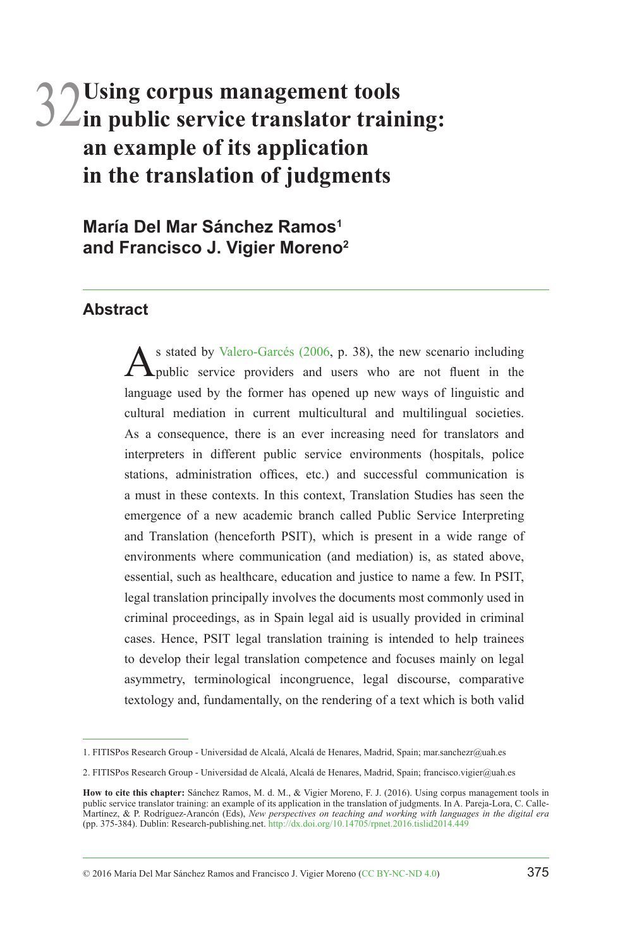# 32**Using corpus management tools in public service translator training: an example of its application in the translation of judgments**

**María Del Mar Sánchez Ramos1 and Francisco J. Vigier Moreno2**

#### **Abstract**

As stated by [Valero-Garcés \(2006](#page-9-0), p. 38), the new scenario including<br>
public service providers and users who are not fluent in the language used by the former has opened up new ways of linguistic and cultural mediation in current multicultural and multilingual societies. As a consequence, there is an ever increasing need for translators and interpreters in different public service environments (hospitals, police stations, administration offices, etc.) and successful communication is a must in these contexts. In this context, Translation Studies has seen the emergence of a new academic branch called Public Service Interpreting and Translation (henceforth PSIT), which is present in a wide range of environments where communication (and mediation) is, as stated above, essential, such as healthcare, education and justice to name a few. In PSIT, legal translation principally involves the documents most commonly used in criminal proceedings, as in Spain legal aid is usually provided in criminal cases. Hence, PSIT legal translation training is intended to help trainees to develop their legal translation competence and focuses mainly on legal asymmetry, terminological incongruence, legal discourse, comparative textology and, fundamentally, on the rendering of a text which is both valid

<sup>1.</sup> FITISPos Research Group - Universidad de Alcalá, Alcalá de Henares, Madrid, Spain; mar.sanchezr@uah.es

<sup>2.</sup> FITISPos Research Group - Universidad de Alcalá, Alcalá de Henares, Madrid, Spain; francisco.vigier@uah.es

**How to cite this chapter:** Sánchez Ramos, M. d. M., & Vigier Moreno, F. J. (2016). Using corpus management tools in public service translator training: an example of its application in the translation of judgments. In A. Pareja-Lora, C. Calle-<br>Martínez, & P. Rodríguez-Arancón (Eds), *New perspectives on teaching and working with languag* (pp. 375-384). Dublin: Research-publishing.net.<http://dx.doi.org/10.14705/rpnet.2016.tislid2014.449>

<sup>© 2016</sup> María Del Mar Sánchez Ramos and Francisco J. Vigier Moreno [\(CC BY-NC-ND 4.0](https://creativecommons.org/licenses/by-nc-nd/4.0/)) 375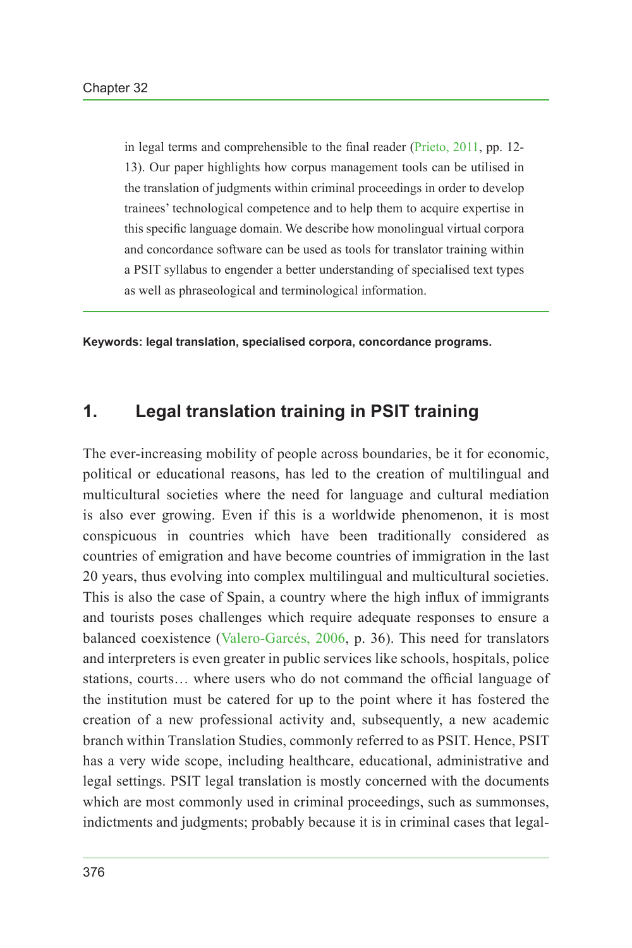in legal terms and comprehensible to the final reader ([Prieto, 2011](#page-8-0), pp. 12- 13). Our paper highlights how corpus management tools can be utilised in the translation of judgments within criminal proceedings in order to develop trainees' technological competence and to help them to acquire expertise in this specific language domain. We describe how monolingual virtual corpora and concordance software can be used as tools for translator training within a PSIT syllabus to engender a better understanding of specialised text types as well as phraseological and terminological information.

**Keywords: legal translation, specialised corpora, concordance programs.**

#### **1. Legal translation training in PSIT training**

The ever-increasing mobility of people across boundaries, be it for economic, political or educational reasons, has led to the creation of multilingual and multicultural societies where the need for language and cultural mediation is also ever growing. Even if this is a worldwide phenomenon, it is most conspicuous in countries which have been traditionally considered as countries of emigration and have become countries of immigration in the last 20 years, thus evolving into complex multilingual and multicultural societies. This is also the case of Spain, a country where the high influx of immigrants and tourists poses challenges which require adequate responses to ensure a balanced coexistence [\(Valero-Garcés, 2006](#page-9-0), p. 36). This need for translators and interpreters is even greater in public services like schools, hospitals, police stations, courts… where users who do not command the official language of the institution must be catered for up to the point where it has fostered the creation of a new professional activity and, subsequently, a new academic branch within Translation Studies, commonly referred to as PSIT. Hence, PSIT has a very wide scope, including healthcare, educational, administrative and legal settings. PSIT legal translation is mostly concerned with the documents which are most commonly used in criminal proceedings, such as summonses, indictments and judgments; probably because it is in criminal cases that legal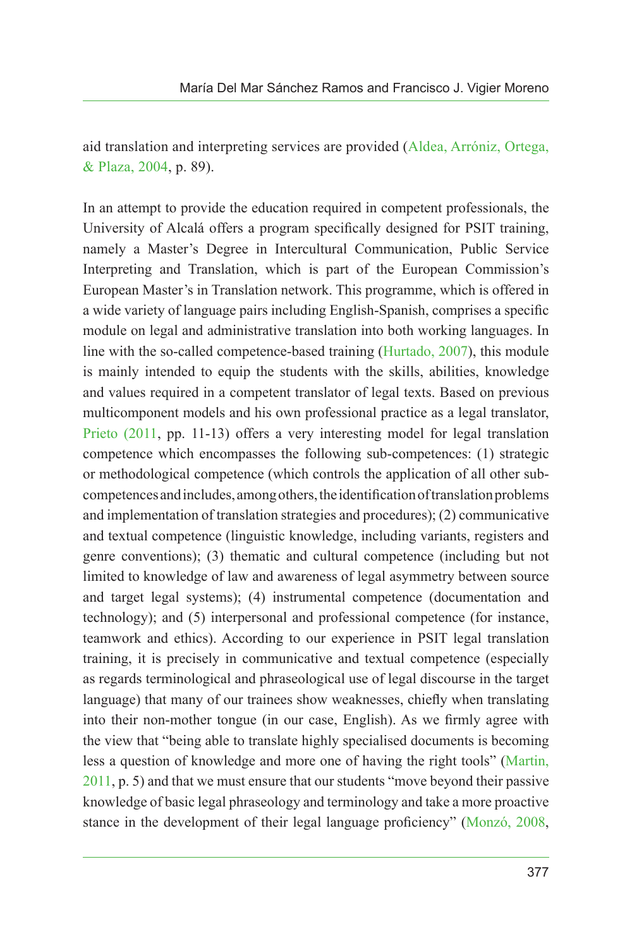aid translation and interpreting services are provided ([Aldea, Arróniz, Ortega,](#page-7-0) [& Plaza, 2004,](#page-7-0) p. 89).

In an attempt to provide the education required in competent professionals, the University of Alcalá offers a program specifically designed for PSIT training, namely a Master's Degree in Intercultural Communication, Public Service Interpreting and Translation, which is part of the European Commission's European Master's in Translation network. This programme, which is offered in a wide variety of language pairs including English-Spanish, comprises a specific module on legal and administrative translation into both working languages. In line with the so-called competence-based training ([Hurtado, 2007\)](#page-8-1), this module is mainly intended to equip the students with the skills, abilities, knowledge and values required in a competent translator of legal texts. Based on previous multicomponent models and his own professional practice as a legal translator, [Prieto \(2011,](#page-8-0) pp. 11-13) offers a very interesting model for legal translation competence which encompasses the following sub-competences: (1) strategic or methodological competence (which controls the application of all other subcompetences and includes, among others, the identification of translation problems and implementation of translation strategies and procedures); (2) communicative and textual competence (linguistic knowledge, including variants, registers and genre conventions); (3) thematic and cultural competence (including but not limited to knowledge of law and awareness of legal asymmetry between source and target legal systems); (4) instrumental competence (documentation and technology); and (5) interpersonal and professional competence (for instance, teamwork and ethics). According to our experience in PSIT legal translation training, it is precisely in communicative and textual competence (especially as regards terminological and phraseological use of legal discourse in the target language) that many of our trainees show weaknesses, chiefly when translating into their non-mother tongue (in our case, English). As we firmly agree with the view that "being able to translate highly specialised documents is becoming less a question of knowledge and more one of having the right tools" ([Martin,](#page-8-2) [2011](#page-8-2), p. 5) and that we must ensure that our students "move beyond their passive knowledge of basic legal phraseology and terminology and take a more proactive stance in the development of their legal language proficiency" ([Monzó, 2008,](#page-8-3)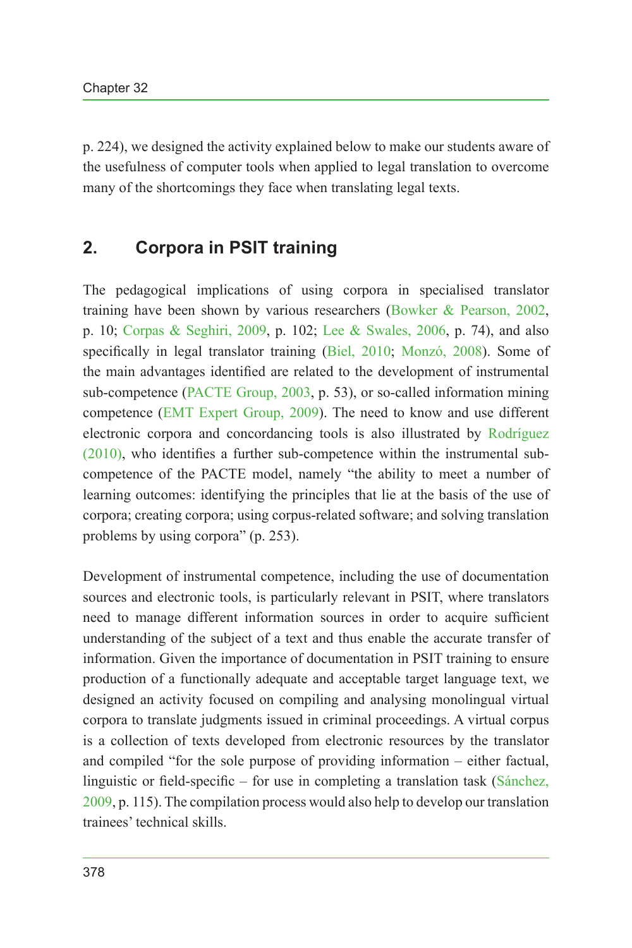p. 224), we designed the activity explained below to make our students aware of the usefulness of computer tools when applied to legal translation to overcome many of the shortcomings they face when translating legal texts.

## **2. Corpora in PSIT training**

The pedagogical implications of using corpora in specialised translator training have been shown by various researchers [\(Bowker & Pearson, 2002,](#page-8-4) p. 10; [Corpas & Seghiri, 2009](#page-8-5), p. 102; [Lee & Swales, 2006,](#page-8-6) p. 74), and also specifically in legal translator training ([Biel, 2010](#page-7-1); [Monzó, 2008\)](#page-8-3). Some of the main advantages identified are related to the development of instrumental sub-competence ([PACTE Group, 2003](#page-8-7), p. 53), or so-called information mining competence [\(EMT Expert Group, 2009\)](#page-8-8). The need to know and use different electronic corpora and concordancing tools is also illustrated by [Rodríguez](#page-9-1) [\(2010\)](#page-9-1), who identifies a further sub-competence within the instrumental subcompetence of the PACTE model, namely "the ability to meet a number of learning outcomes: identifying the principles that lie at the basis of the use of corpora; creating corpora; using corpus-related software; and solving translation problems by using corpora" (p. 253).

Development of instrumental competence, including the use of documentation sources and electronic tools, is particularly relevant in PSIT, where translators need to manage different information sources in order to acquire sufficient understanding of the subject of a text and thus enable the accurate transfer of information. Given the importance of documentation in PSIT training to ensure production of a functionally adequate and acceptable target language text, we designed an activity focused on compiling and analysing monolingual virtual corpora to translate judgments issued in criminal proceedings. A virtual corpus is a collection of texts developed from electronic resources by the translator and compiled "for the sole purpose of providing information – either factual, linguistic or field-specific – for use in completing a translation task ([Sánchez,](#page-9-2) [2009,](#page-9-2) p. 115). The compilation process would also help to develop our translation trainees' technical skills.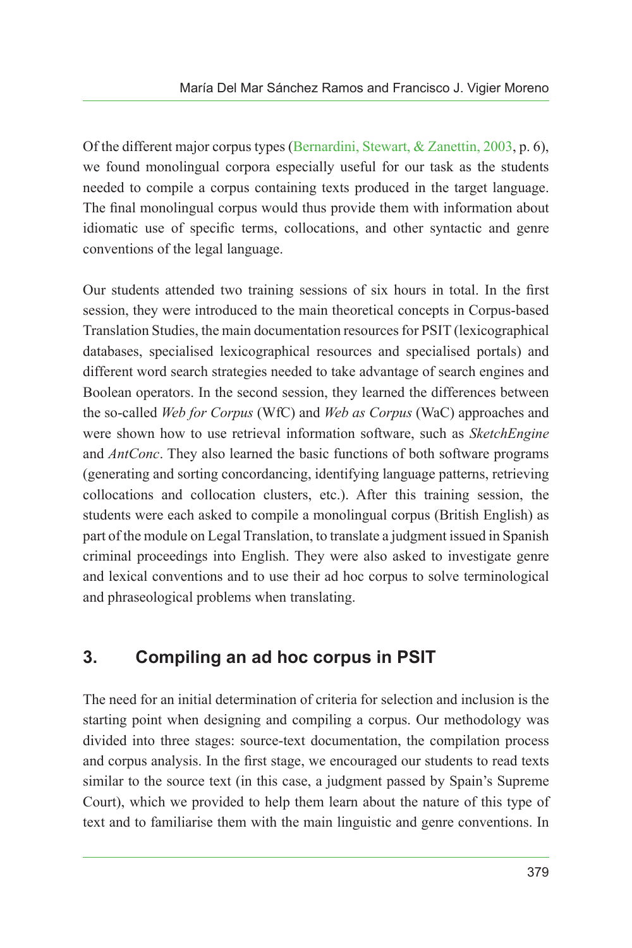Of the different major corpus types [\(Bernardini, Stewart, & Zanettin, 2003](#page-7-2), p. 6), we found monolingual corpora especially useful for our task as the students needed to compile a corpus containing texts produced in the target language. The final monolingual corpus would thus provide them with information about idiomatic use of specific terms, collocations, and other syntactic and genre conventions of the legal language.

Our students attended two training sessions of six hours in total. In the first session, they were introduced to the main theoretical concepts in Corpus-based Translation Studies, the main documentation resources for PSIT (lexicographical databases, specialised lexicographical resources and specialised portals) and different word search strategies needed to take advantage of search engines and Boolean operators. In the second session, they learned the differences between the so-called *Web for Corpus* (WfC) and *Web as Corpus* (WaC) approaches and were shown how to use retrieval information software, such as *SketchEngine* and *AntConc*. They also learned the basic functions of both software programs (generating and sorting concordancing, identifying language patterns, retrieving collocations and collocation clusters, etc.). After this training session, the students were each asked to compile a monolingual corpus (British English) as part of the module on Legal Translation, to translate a judgment issued in Spanish criminal proceedings into English. They were also asked to investigate genre and lexical conventions and to use their ad hoc corpus to solve terminological and phraseological problems when translating.

# **3. Compiling an ad hoc corpus in PSIT**

The need for an initial determination of criteria for selection and inclusion is the starting point when designing and compiling a corpus. Our methodology was divided into three stages: source-text documentation, the compilation process and corpus analysis. In the first stage, we encouraged our students to read texts similar to the source text (in this case, a judgment passed by Spain's Supreme Court), which we provided to help them learn about the nature of this type of text and to familiarise them with the main linguistic and genre conventions. In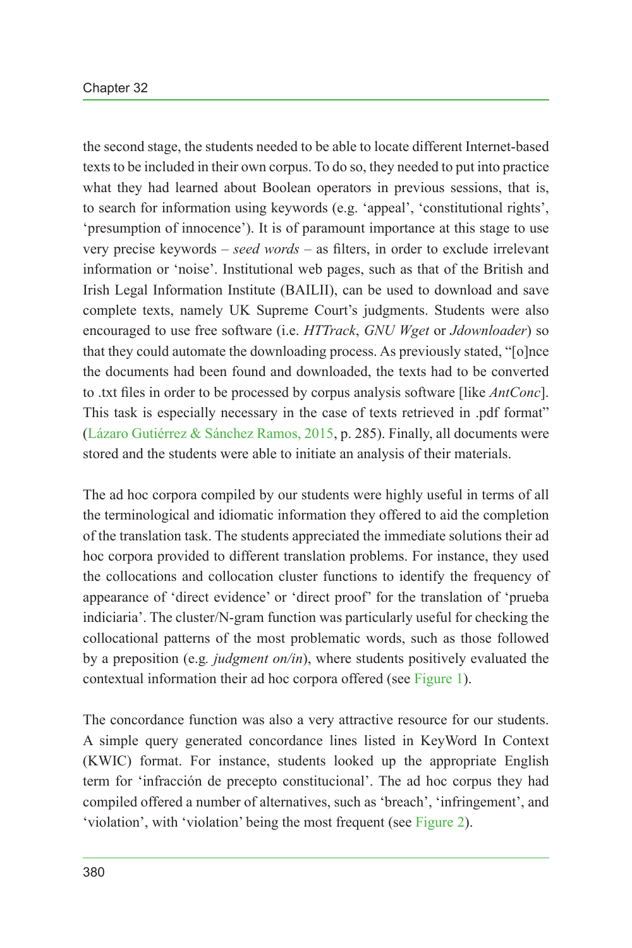the second stage, the students needed to be able to locate different Internet-based texts to be included in their own corpus. To do so, they needed to put into practice what they had learned about Boolean operators in previous sessions, that is, to search for information using keywords (e.g. 'appeal', 'constitutional rights', 'presumption of innocence'). It is of paramount importance at this stage to use very precise keywords – *seed words* – as filters, in order to exclude irrelevant information or 'noise'. Institutional web pages, such as that of the British and Irish Legal Information Institute (BAILII), can be used to download and save complete texts, namely UK Supreme Court's judgments. Students were also encouraged to use free software (i.e. *HTTrack*, *GNU Wget* or *Jdownloader*) so that they could automate the downloading process. As previously stated, "[o]nce the documents had been found and downloaded, the texts had to be converted to .txt files in order to be processed by corpus analysis software [like *AntConc*]. This task is especially necessary in the case of texts retrieved in .pdf format" [\(Lázaro Gutiérrez & Sánchez Ramos, 2015](#page-8-9), p. 285). Finally, all documents were stored and the students were able to initiate an analysis of their materials.

The ad hoc corpora compiled by our students were highly useful in terms of all the terminological and idiomatic information they offered to aid the completion of the translation task. The students appreciated the immediate solutions their ad hoc corpora provided to different translation problems. For instance, they used the collocations and collocation cluster functions to identify the frequency of appearance of 'direct evidence' or 'direct proof' for the translation of 'prueba indiciaria'. The cluster/N-gram function was particularly useful for checking the collocational patterns of the most problematic words, such as those followed by a preposition (e.g*. judgment on/in*), where students positively evaluated the contextual information their ad hoc corpora offered (see [Figure 1\)](#page-6-0).

The concordance function was also a very attractive resource for our students. A simple query generated concordance lines listed in KeyWord In Context (KWIC) format. For instance, students looked up the appropriate English term for 'infracción de precepto constitucional'. The ad hoc corpus they had compiled offered a number of alternatives, such as 'breach', 'infringement', and 'violation', with 'violation' being the most frequent (see [Figure 2\)](#page-6-1).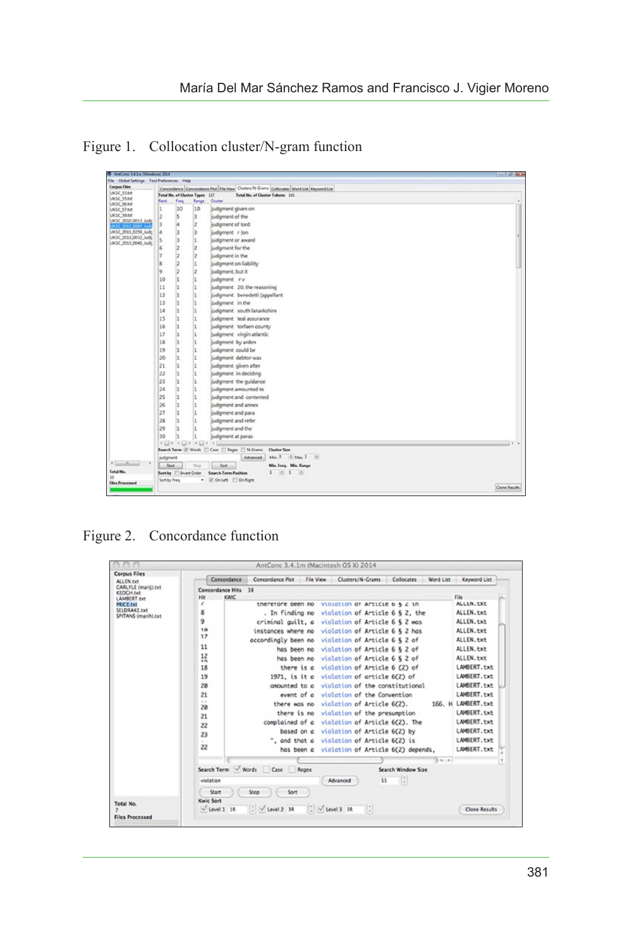Figure 1. Collocation cluster/N-gram function

<span id="page-6-0"></span>

| <b>B</b> ANCONC 3A1w (Windows) 2014                                                                                    |                                                                                                                                         |        |                                |                                               | <b>COLLEGE BROW</b> |  |  |  |  |  |
|------------------------------------------------------------------------------------------------------------------------|-----------------------------------------------------------------------------------------------------------------------------------------|--------|--------------------------------|-----------------------------------------------|---------------------|--|--|--|--|--|
| File Global Settings Tool Preferences Help                                                                             |                                                                                                                                         |        |                                |                                               |                     |  |  |  |  |  |
| <b>Corpus Files</b><br>UKSC_53.bd                                                                                      | Concordance Concordance Plot File View Chriters/N-Grams Collocates Word List Keyword List                                               |        |                                |                                               |                     |  |  |  |  |  |
| UKSC 55.bit                                                                                                            |                                                                                                                                         |        | Total No. of Cluster Types 117 | Total No. of Cluster Tokens 141               |                     |  |  |  |  |  |
| UKSC 56.bit                                                                                                            | Rank                                                                                                                                    | Freq   | Range                          | Chatter                                       |                     |  |  |  |  |  |
|                                                                                                                        | 1                                                                                                                                       | 10     | 10                             | judgment given on                             |                     |  |  |  |  |  |
|                                                                                                                        | 2                                                                                                                                       | ls.    | lз                             | judgment of the                               |                     |  |  |  |  |  |
|                                                                                                                        | lз                                                                                                                                      | l4     | 2                              | judgment of lord                              |                     |  |  |  |  |  |
|                                                                                                                        | l4                                                                                                                                      | l3     | l3                             | judgment r (on                                |                     |  |  |  |  |  |
| UKSC 57.bit<br>UKSC_59.bit<br>UKSC_2010_0013_Judg<br>UKSC 2011 0259 Judg<br>UKSC_2013.0032_Judg<br>UKSC 2013 0040 Judg | Is                                                                                                                                      | 13     | k                              | judgment or award                             |                     |  |  |  |  |  |
|                                                                                                                        | 6                                                                                                                                       | 12     | 12                             | judgment for the                              |                     |  |  |  |  |  |
|                                                                                                                        | Þ                                                                                                                                       | 12     | $\vert$ 2                      | judgment in the                               |                     |  |  |  |  |  |
|                                                                                                                        | 8                                                                                                                                       | lz     | ı                              | judgment on liability                         |                     |  |  |  |  |  |
|                                                                                                                        | l9                                                                                                                                      | 12     | $\overline{2}$                 | judgment, but it                              |                     |  |  |  |  |  |
|                                                                                                                        | 10                                                                                                                                      | k      | ls.                            | judgment rv                                   |                     |  |  |  |  |  |
|                                                                                                                        | 11                                                                                                                                      | ls.    | Ŀ                              | judgment 20, the reasoning                    |                     |  |  |  |  |  |
|                                                                                                                        | 12                                                                                                                                      | h      | l1.                            | judgment benedetti (appellant                 |                     |  |  |  |  |  |
|                                                                                                                        | 13                                                                                                                                      | ls.    | 11                             | judgment in the                               |                     |  |  |  |  |  |
|                                                                                                                        | 14                                                                                                                                      | I1     | 11                             | judgment south lanarkshire                    |                     |  |  |  |  |  |
|                                                                                                                        | 15                                                                                                                                      | I1     | l1                             | judgment teal assurance                       |                     |  |  |  |  |  |
|                                                                                                                        | 16                                                                                                                                      | ls.    | l1                             | judgment torfaen county                       |                     |  |  |  |  |  |
|                                                                                                                        | 17                                                                                                                                      | l1     | l1                             | judgment virgin atlantic                      |                     |  |  |  |  |  |
|                                                                                                                        | 18                                                                                                                                      | l1.    | l1                             | judgment by arden                             |                     |  |  |  |  |  |
|                                                                                                                        | 19                                                                                                                                      | Is.    | ı                              | judgment could be                             |                     |  |  |  |  |  |
|                                                                                                                        | 20                                                                                                                                      | l1     | I1                             | judgment debtor was                           |                     |  |  |  |  |  |
|                                                                                                                        | 21                                                                                                                                      | l1     | l1                             | judgment given after                          |                     |  |  |  |  |  |
|                                                                                                                        | 22                                                                                                                                      | ls.    | l1                             | judgment in deciding                          |                     |  |  |  |  |  |
|                                                                                                                        | 23                                                                                                                                      | l1     | 1                              | judgment the guidance                         |                     |  |  |  |  |  |
|                                                                                                                        | 24                                                                                                                                      |        |                                |                                               |                     |  |  |  |  |  |
|                                                                                                                        | 25                                                                                                                                      | h<br>Ŀ | 11<br>Ŀ                        | judgment amounted to                          |                     |  |  |  |  |  |
|                                                                                                                        |                                                                                                                                         |        |                                | judgment and contented                        |                     |  |  |  |  |  |
|                                                                                                                        | 26                                                                                                                                      | h      | I1                             | judgment and annex                            |                     |  |  |  |  |  |
|                                                                                                                        | 27                                                                                                                                      | k      | l1                             | judgment and para                             |                     |  |  |  |  |  |
|                                                                                                                        | 28                                                                                                                                      | lı.    | l1                             | judgment and refer                            |                     |  |  |  |  |  |
|                                                                                                                        | 29                                                                                                                                      | h      | 11                             | judgment and the                              |                     |  |  |  |  |  |
|                                                                                                                        | 30                                                                                                                                      |        |                                | judgment at paras                             |                     |  |  |  |  |  |
|                                                                                                                        | $\mathcal{C} \boxdot \mathcal{D} = \mathcal{C} \boxdot \mathcal{D} = \mathcal{C} \boxdot \mathcal{D} = \mathcal{C} \boxdot \mathcal{D}$ |        |                                |                                               |                     |  |  |  |  |  |
|                                                                                                                        | Search Term (7) Words (2) Case (2) Regex (2) N-Grams Custer Size                                                                        |        |                                |                                               |                     |  |  |  |  |  |
| $\epsilon$ in the second                                                                                               | judgment                                                                                                                                |        |                                | Min. 3   0: Max. 3   0:<br>Advanced           |                     |  |  |  |  |  |
| Total No.                                                                                                              | Start                                                                                                                                   |        | 5000                           | Sert<br>Min. Freq. Min. Range                 |                     |  |  |  |  |  |
| 10                                                                                                                     |                                                                                                                                         |        | Sort by <b>Dovert Order</b>    | $1 - 011 - 01$<br><b>Search Term Position</b> |                     |  |  |  |  |  |
| <b>Files Processed</b>                                                                                                 | Sort by Freq                                                                                                                            |        |                                | - W On Left Con Right                         |                     |  |  |  |  |  |
|                                                                                                                        |                                                                                                                                         |        |                                |                                               | Clone Results       |  |  |  |  |  |

Figure 2. Concordance function

<span id="page-6-1"></span>

| <b>Corpus Files</b>                                                    |                                                       |                                                               |  |                                             |                                        |                                                             |               |                      |  |  |  |  |  |
|------------------------------------------------------------------------|-------------------------------------------------------|---------------------------------------------------------------|--|---------------------------------------------|----------------------------------------|-------------------------------------------------------------|---------------|----------------------|--|--|--|--|--|
| ALLEN Fet                                                              | Concordance                                           | Concordance Plot                                              |  | File View Clusters/N-Grams                  |                                        | Collocates                                                  | Word List     | Keyword List         |  |  |  |  |  |
| CARLYLE (marii).txt<br><b>KEOCH INT</b>                                | <b>Concordance Hits</b><br>38                         |                                                               |  |                                             |                                        |                                                             |               |                      |  |  |  |  |  |
| LAMBERT.txt<br><b>PRICE Txt</b><br>SELDRAKE.txt<br>SPITANS (marih).txt | KWIC<br><b>Hit</b>                                    | File                                                          |  |                                             |                                        |                                                             |               |                      |  |  |  |  |  |
|                                                                        | ,                                                     | thererore peen no                                             |  | VIOLGTION OF APTICLE <b>b b</b> <i>c</i> 10 |                                        |                                                             |               | ALLEN, TXT           |  |  |  |  |  |
|                                                                        | 8                                                     | . In finding no violation of Article 6 § 2, the               |  |                                             |                                        |                                                             |               | ALLEN.txt            |  |  |  |  |  |
|                                                                        | 9                                                     | criminal quilt, a violation of Article 6 § 2 was              |  |                                             |                                        |                                                             |               | ALLEN.txt            |  |  |  |  |  |
|                                                                        | 10                                                    | instances where no violation of Article 6 § 2 has             |  |                                             |                                        |                                                             |               | ALLEN.txt            |  |  |  |  |  |
|                                                                        | 17                                                    | accordingly been no violation of Article 6 § 2 of             |  |                                             |                                        |                                                             |               | ALLEN.txt            |  |  |  |  |  |
|                                                                        | 11                                                    |                                                               |  | has been no violation of Article 6 6 2 of   |                                        |                                                             |               | ALLEN.txt            |  |  |  |  |  |
|                                                                        | 12<br>$\sim$                                          |                                                               |  | has been no violation of Article 6 § 2 of   |                                        |                                                             |               | ALLEN.txt            |  |  |  |  |  |
|                                                                        | 18                                                    |                                                               |  | there is a violation of Article 6 (2) of    |                                        |                                                             |               | LAMBERT.txt          |  |  |  |  |  |
|                                                                        | 19                                                    | 1971, is it a violation of article 6(2) of                    |  |                                             |                                        |                                                             |               | LAMBERT, txt         |  |  |  |  |  |
|                                                                        | 20                                                    |                                                               |  |                                             |                                        | amounted to a violation of the constitutional               |               | LAMBERT.txt          |  |  |  |  |  |
|                                                                        | 21                                                    |                                                               |  | event of a violation of the Convention      |                                        |                                                             |               | LAMBERT.txt          |  |  |  |  |  |
|                                                                        | $\sim$                                                |                                                               |  |                                             |                                        |                                                             |               | 166. H LAMBERT.txt   |  |  |  |  |  |
|                                                                        | 28                                                    | there was no violation of Article 6(2).                       |  |                                             |                                        |                                                             |               |                      |  |  |  |  |  |
|                                                                        | 21                                                    |                                                               |  | there is no violation of the presumption    |                                        |                                                             |               | LAMBERT.txt          |  |  |  |  |  |
|                                                                        | 22                                                    | complained of a violation of Article 6(2). The                |  |                                             |                                        |                                                             |               | LAMBERT.txt          |  |  |  |  |  |
|                                                                        | 23                                                    |                                                               |  | based on a violation of Article 6(2) by     |                                        |                                                             |               | LAMBERT.txt          |  |  |  |  |  |
|                                                                        |                                                       | ", and that a violation of Article 6(2) is                    |  |                                             |                                        |                                                             |               | LAMBERT.txt          |  |  |  |  |  |
|                                                                        | 22                                                    |                                                               |  |                                             |                                        | has been a violation of Article 6(2) depends,               |               | LAMBERT.txt          |  |  |  |  |  |
|                                                                        |                                                       |                                                               |  |                                             |                                        |                                                             | $3 - 4 - 4 -$ |                      |  |  |  |  |  |
|                                                                        | Search Term Words Case<br>Search Window Size<br>Regex |                                                               |  |                                             |                                        |                                                             |               |                      |  |  |  |  |  |
|                                                                        | violation                                             |                                                               |  |                                             |                                        |                                                             |               |                      |  |  |  |  |  |
|                                                                        |                                                       |                                                               |  | Advanced                                    | 55                                     | $\left[\begin{smallmatrix} 0 \\ 0 \end{smallmatrix}\right]$ |               |                      |  |  |  |  |  |
|                                                                        | <b>Start</b>                                          | Stop<br>Sort                                                  |  |                                             |                                        |                                                             |               |                      |  |  |  |  |  |
| Total No.                                                              | <b>Kwic Sort</b>                                      |                                                               |  |                                             |                                        |                                                             |               |                      |  |  |  |  |  |
|                                                                        | $\sqrt{\text{Level 1}}$ 1R                            | $\therefore$ $\vee$ Level 2 3R $\therefore$ $\vee$ Level 3 3R |  |                                             | $\left\lceil \frac{n}{n} \right\rceil$ |                                                             |               | <b>Clone Results</b> |  |  |  |  |  |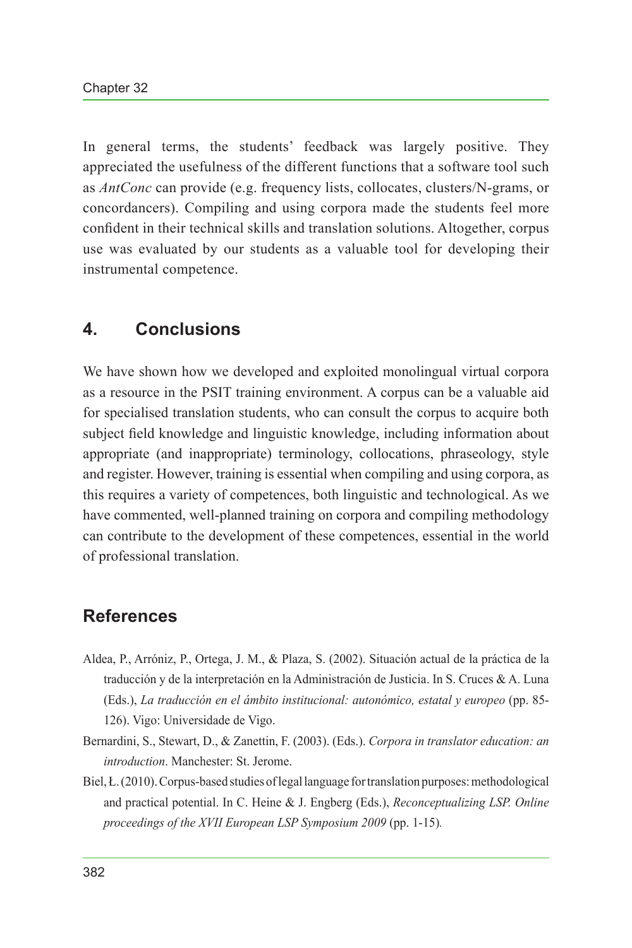In general terms, the students' feedback was largely positive. They appreciated the usefulness of the different functions that a software tool such as *AntConc* can provide (e.g. frequency lists, collocates, clusters/N-grams, or concordancers). Compiling and using corpora made the students feel more confident in their technical skills and translation solutions. Altogether, corpus use was evaluated by our students as a valuable tool for developing their instrumental competence.

#### **4. Conclusions**

We have shown how we developed and exploited monolingual virtual corpora as a resource in the PSIT training environment. A corpus can be a valuable aid for specialised translation students, who can consult the corpus to acquire both subject field knowledge and linguistic knowledge, including information about appropriate (and inappropriate) terminology, collocations, phraseology, style and register. However, training is essential when compiling and using corpora, as this requires a variety of competences, both linguistic and technological. As we have commented, well-planned training on corpora and compiling methodology can contribute to the development of these competences, essential in the world of professional translation.

### **References**

- <span id="page-7-0"></span>Aldea, P., Arróniz, P., Ortega, J. M., & Plaza, S. (2002). Situación actual de la práctica de la traducción y de la interpretación en la Administración de Justicia. In S. Cruces & A. Luna (Eds.), *La traducción en el ámbito institucional: autonómico, estatal y europeo* (pp. 85- 126). Vigo: Universidade de Vigo.
- <span id="page-7-2"></span>Bernardini, S., Stewart, D., & Zanettin, F. (2003). (Eds.). *Corpora in translator education: an introduction*. Manchester: St. Jerome.
- <span id="page-7-1"></span>Biel, Ł. (2010). Corpus-based studies of legal language for translation purposes: methodological and practical potential. In C. Heine & J. Engberg (Eds.), *Reconceptualizing LSP. Online proceedings of the XVII European LSP Symposium 2009* (pp. 1-15)*.*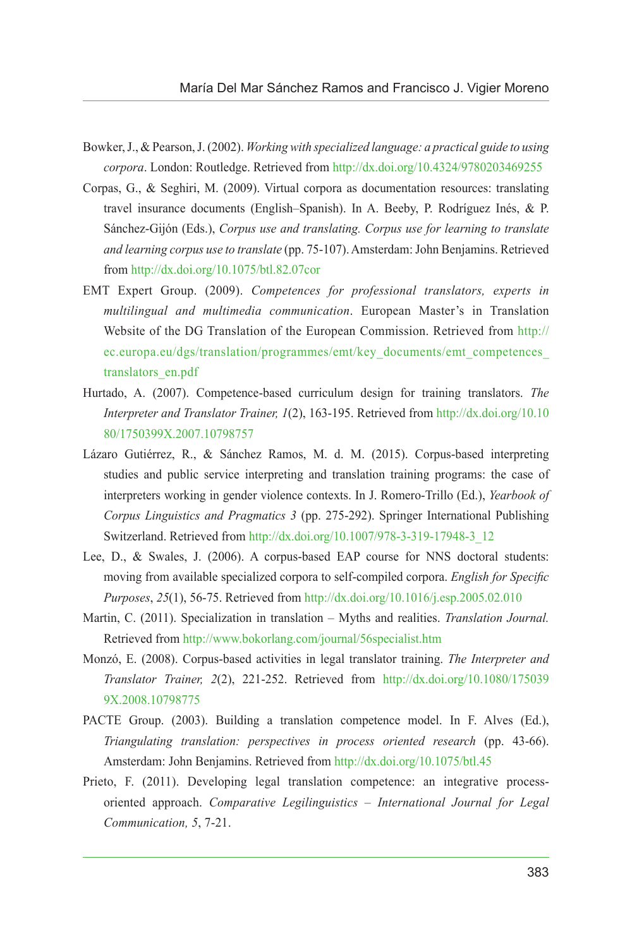- <span id="page-8-4"></span>Bowker, J., & Pearson, J. (2002). *Working with specialized language: a practical guide to using corpora*. London: Routledge. Retrieved from<http://dx.doi.org/10.4324/9780203469255>
- <span id="page-8-5"></span>Corpas, G., & Seghiri, M. (2009). Virtual corpora as documentation resources: translating travel insurance documents (English–Spanish). In A. Beeby, P. Rodríguez Inés, & P. Sánchez-Gijón (Eds.), *Corpus use and translating. Corpus use for learning to translate and learning corpus use to translate* (pp. 75-107). Amsterdam: John Benjamins. Retrieved from <http://dx.doi.org/10.1075/btl.82.07cor>
- <span id="page-8-8"></span>EMT Expert Group. (2009). *Competences for professional translators, experts in multilingual and multimedia communication*. European Master's in Translation Website of the DG Translation of the European Commission. Retrieved from [http://](http://ec.europa.eu/dgs/translation/programmes/emt/key_documents/emt_competences_translators_en.pdf) [ec.europa.eu/dgs/translation/programmes/emt/key\\_documents/emt\\_competences\\_](http://ec.europa.eu/dgs/translation/programmes/emt/key_documents/emt_competences_translators_en.pdf) [translators\\_en.pdf](http://ec.europa.eu/dgs/translation/programmes/emt/key_documents/emt_competences_translators_en.pdf)
- <span id="page-8-1"></span>Hurtado, A. (2007). Competence-based curriculum design for training translators. *The Interpreter and Translator Trainer, 1*(2), 163-195. Retrieved from [http://dx.doi.org/10.10](http://dx.doi.org/10.1080/1750399X.2007.10798757) [80/1750399X.2007.10798757](http://dx.doi.org/10.1080/1750399X.2007.10798757)
- <span id="page-8-9"></span>Lázaro Gutiérrez, R., & Sánchez Ramos, M. d. M. (2015). Corpus-based interpreting studies and public service interpreting and translation training programs: the case of interpreters working in gender violence contexts. In J. Romero-Trillo (Ed.), *Yearbook of Corpus Linguistics and Pragmatics 3* (pp. 275-292). Springer International Publishing Switzerland. Retrieved from [http://dx.doi.org/10.1007/978-3-319-17948-3\\_12](http://dx.doi.org/10.1007/978-3-319-17948-3_12)
- <span id="page-8-6"></span>Lee, D., & Swales, J. (2006). A corpus-based EAP course for NNS doctoral students: moving from available specialized corpora to self-compiled corpora. *English for Specific Purposes*, *25*(1), 56-75. Retrieved from<http://dx.doi.org/10.1016/j.esp.2005.02.010>
- <span id="page-8-2"></span>Martin, C. (2011). Specialization in translation – Myths and realities. *Translation Journal.*  Retrieved from <http://www.bokorlang.com/journal/56specialist.htm>
- <span id="page-8-3"></span>Monzó, E. (2008). Corpus-based activities in legal translator training. *The Interpreter and Translator Trainer, 2*(2), 221-252. Retrieved from [http://dx.doi.org/10.1080/175039](http://dx.doi.org/10.1080/1750399X.2008.10798775) [9X.2008.10798775](http://dx.doi.org/10.1080/1750399X.2008.10798775)
- <span id="page-8-7"></span>PACTE Group. (2003). Building a translation competence model. In F. Alves (Ed.), *Triangulating translation: perspectives in process oriented research* (pp. 43-66). Amsterdam: John Benjamins. Retrieved from <http://dx.doi.org/10.1075/btl.45>
- <span id="page-8-0"></span>Prieto, F. (2011). Developing legal translation competence: an integrative processoriented approach. *Comparative Legilinguistics – International Journal for Legal Communication, 5*, 7-21.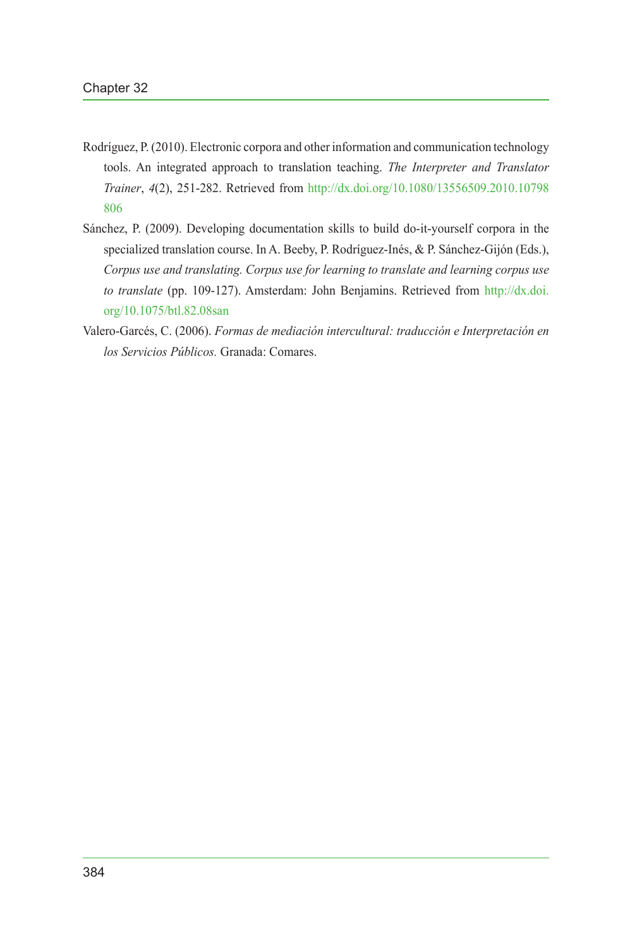- <span id="page-9-1"></span>Rodríguez, P. (2010). Electronic corpora and other information and communication technology tools. An integrated approach to translation teaching. *The Interpreter and Translator Trainer*, *4*(2), 251-282. Retrieved from [http://dx.doi.org/10.1080/13556509.2010.10798](http://dx.doi.org/10.1080/13556509.2010.10798806) [806](http://dx.doi.org/10.1080/13556509.2010.10798806)
- <span id="page-9-2"></span>Sánchez, P. (2009). Developing documentation skills to build do-it-yourself corpora in the specialized translation course. In A. Beeby, P. Rodríguez-Inés, & P. Sánchez-Gijón (Eds.), *Corpus use and translating. Corpus use for learning to translate and learning corpus use to translate* (pp. 109-127). Amsterdam: John Benjamins. Retrieved from [http://dx.doi.](http://dx.doi.org/10.1075/btl.82.08san) [org/10.1075/btl.82.08san](http://dx.doi.org/10.1075/btl.82.08san)
- <span id="page-9-0"></span>Valero-Garcés, C. (2006). *Formas de mediación intercultural: traducción e Interpretación en los Servicios Públicos.* Granada: Comares.